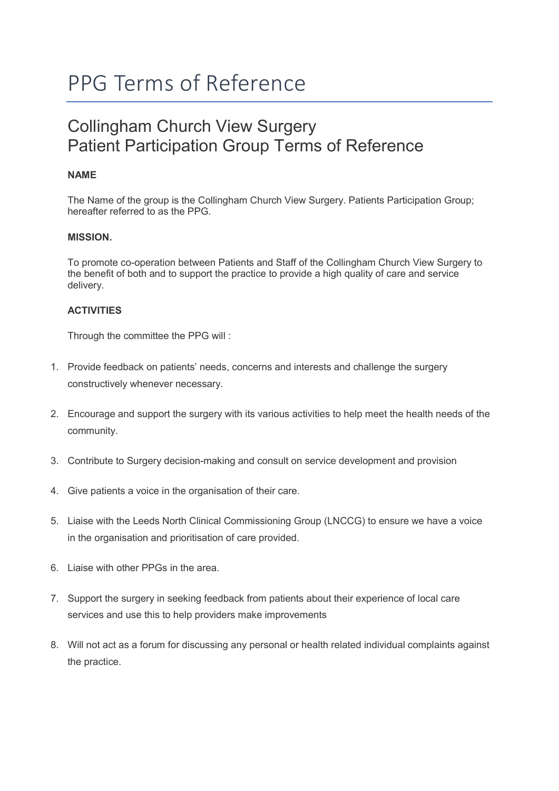# PPG Terms of Reference

# Collingham Church View Surgery Patient Participation Group Terms of Reference

# NAME

The Name of the group is the Collingham Church View Surgery. Patients Participation Group; hereafter referred to as the PPG.

## MISSION.

To promote co-operation between Patients and Staff of the Collingham Church View Surgery to the benefit of both and to support the practice to provide a high quality of care and service delivery.

## **ACTIVITIES**

Through the committee the PPG will :

- 1. Provide feedback on patients' needs, concerns and interests and challenge the surgery constructively whenever necessary.
- 2. Encourage and support the surgery with its various activities to help meet the health needs of the community.
- 3. Contribute to Surgery decision-making and consult on service development and provision
- 4. Give patients a voice in the organisation of their care.
- 5. Liaise with the Leeds North Clinical Commissioning Group (LNCCG) to ensure we have a voice in the organisation and prioritisation of care provided.
- 6. Liaise with other PPGs in the area.
- 7. Support the surgery in seeking feedback from patients about their experience of local care services and use this to help providers make improvements
- 8. Will not act as a forum for discussing any personal or health related individual complaints against the practice.